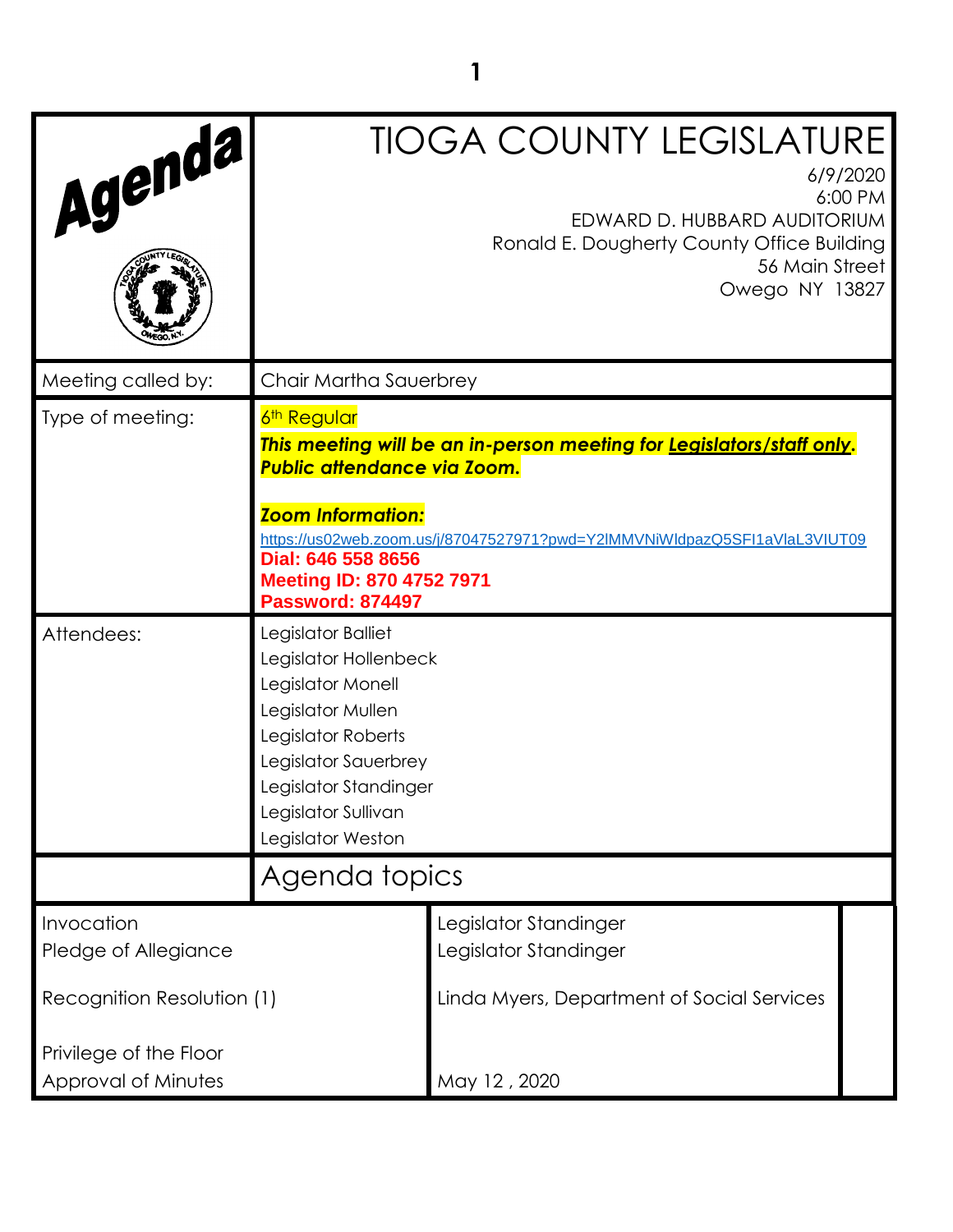| Agenda,                                       |                                                                                                                                                                                                          | <b>TIOGA COUNTY LEGISLATURE</b><br>EDWARD D. HUBBARD AUDITORIUM<br>Ronald E. Dougherty County Office Building<br>56 Main Street<br>Owego NY 13827   | 6/9/2020<br>6:00 PM |
|-----------------------------------------------|----------------------------------------------------------------------------------------------------------------------------------------------------------------------------------------------------------|-----------------------------------------------------------------------------------------------------------------------------------------------------|---------------------|
| Meeting called by:                            | Chair Martha Sauerbrey                                                                                                                                                                                   |                                                                                                                                                     |                     |
| Type of meeting:                              | 6 <sup>th</sup> Regular<br><b>Public attendance via Zoom.</b><br><b>Zoom Information:</b><br>Dial: 646 558 8656<br><b>Meeting ID: 870 4752 7971</b><br><b>Password: 874497</b>                           | This meeting will be an in-person meeting for Legislators/staff only.<br>https://us02web.zoom.us/j/87047527971?pwd=Y2lMMVNiWldpazQ5SFI1aVlaL3VIUT09 |                     |
| Attendees:                                    | Legislator Balliet<br>Legislator Hollenbeck<br>Legislator Monell<br>Legislator Mullen<br>Legislator Roberts<br>Legislator Sauerbrey<br>Legislator Standinger<br>Legislator Sullivan<br>Legislator Weston |                                                                                                                                                     |                     |
|                                               | Agenda topics                                                                                                                                                                                            |                                                                                                                                                     |                     |
| Invocation<br>Pledge of Allegiance            |                                                                                                                                                                                                          | Legislator Standinger<br>Legislator Standinger                                                                                                      |                     |
| Recognition Resolution (1)                    |                                                                                                                                                                                                          | Linda Myers, Department of Social Services                                                                                                          |                     |
| Privilege of the Floor<br>Approval of Minutes |                                                                                                                                                                                                          | May 12, 2020                                                                                                                                        |                     |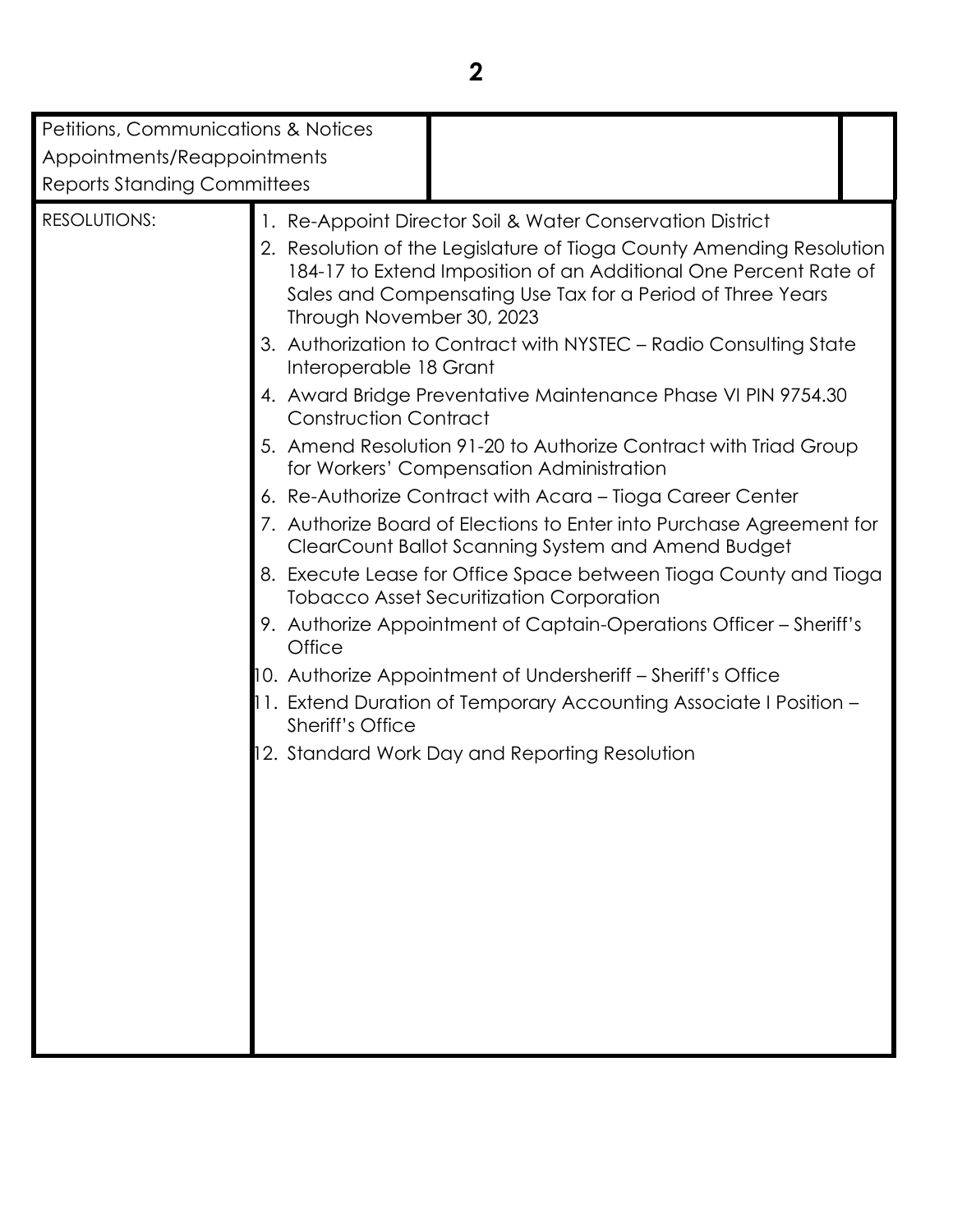| Petitions, Communications & Notices<br>Appointments/Reappointments<br><b>Reports Standing Committees</b> |                                                                                                                          |                                                                                                                                                                                                                                                                                                                                                                                                                                                                                                                                                                                                                                                                                                                                                                                                                                                                                                                                                                                                                                                                                                           |  |
|----------------------------------------------------------------------------------------------------------|--------------------------------------------------------------------------------------------------------------------------|-----------------------------------------------------------------------------------------------------------------------------------------------------------------------------------------------------------------------------------------------------------------------------------------------------------------------------------------------------------------------------------------------------------------------------------------------------------------------------------------------------------------------------------------------------------------------------------------------------------------------------------------------------------------------------------------------------------------------------------------------------------------------------------------------------------------------------------------------------------------------------------------------------------------------------------------------------------------------------------------------------------------------------------------------------------------------------------------------------------|--|
| <b>RESOLUTIONS:</b>                                                                                      | Through November 30, 2023<br>Interoperable 18 Grant<br><b>Construction Contract</b><br>Office<br><b>Sheriff's Office</b> | 1. Re-Appoint Director Soil & Water Conservation District<br>2. Resolution of the Legislature of Tioga County Amending Resolution<br>184-17 to Extend Imposition of an Additional One Percent Rate of<br>Sales and Compensating Use Tax for a Period of Three Years<br>3. Authorization to Contract with NYSTEC - Radio Consulting State<br>4. Award Bridge Preventative Maintenance Phase VI PIN 9754.30<br>5. Amend Resolution 91-20 to Authorize Contract with Triad Group<br>for Workers' Compensation Administration<br>6. Re-Authorize Contract with Acara - Tioga Career Center<br>7. Authorize Board of Elections to Enter into Purchase Agreement for<br>ClearCount Ballot Scanning System and Amend Budget<br>8. Execute Lease for Office Space between Tioga County and Tioga<br><b>Tobacco Asset Securitization Corporation</b><br>9. Authorize Appointment of Captain-Operations Officer – Sheriff's<br>10. Authorize Appointment of Undersheriff – Sheriff's Office<br>11. Extend Duration of Temporary Accounting Associate I Position -<br>12. Standard Work Day and Reporting Resolution |  |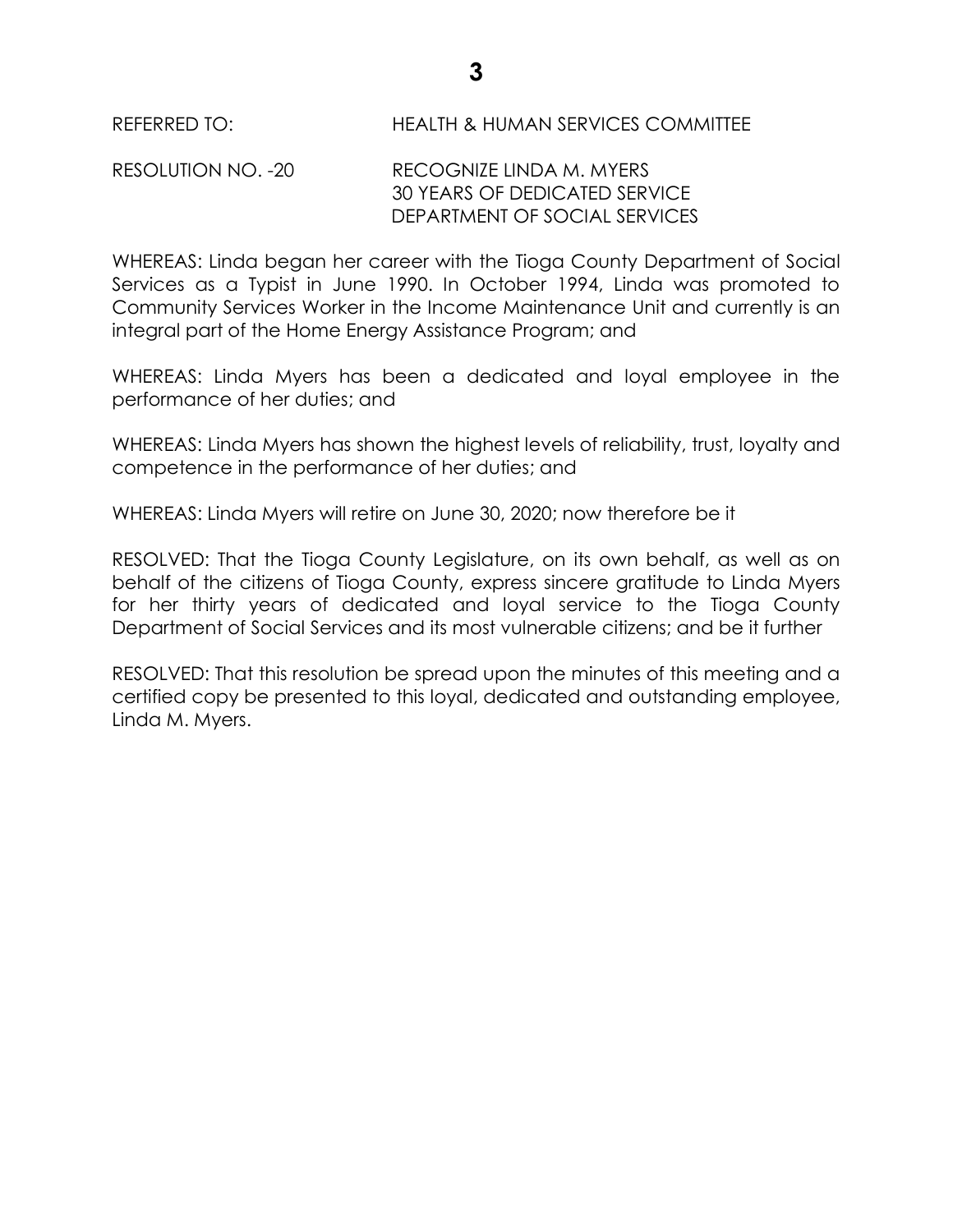REFERRED TO: HEALTH & HUMAN SERVICES COMMITTEE

RESOLUTION NO. -20 RECOGNIZE LINDA M. MYERS 30 YEARS OF DEDICATED SERVICE DEPARTMENT OF SOCIAL SERVICES

WHEREAS: Linda began her career with the Tioga County Department of Social Services as a Typist in June 1990. In October 1994, Linda was promoted to Community Services Worker in the Income Maintenance Unit and currently is an integral part of the Home Energy Assistance Program; and

WHEREAS: Linda Myers has been a dedicated and loyal employee in the performance of her duties; and

WHEREAS: Linda Myers has shown the highest levels of reliability, trust, loyalty and competence in the performance of her duties; and

WHEREAS: Linda Myers will retire on June 30, 2020; now therefore be it

RESOLVED: That the Tioga County Legislature, on its own behalf, as well as on behalf of the citizens of Tioga County, express sincere gratitude to Linda Myers for her thirty years of dedicated and loyal service to the Tioga County Department of Social Services and its most vulnerable citizens; and be it further

RESOLVED: That this resolution be spread upon the minutes of this meeting and a certified copy be presented to this loyal, dedicated and outstanding employee, Linda M. Myers.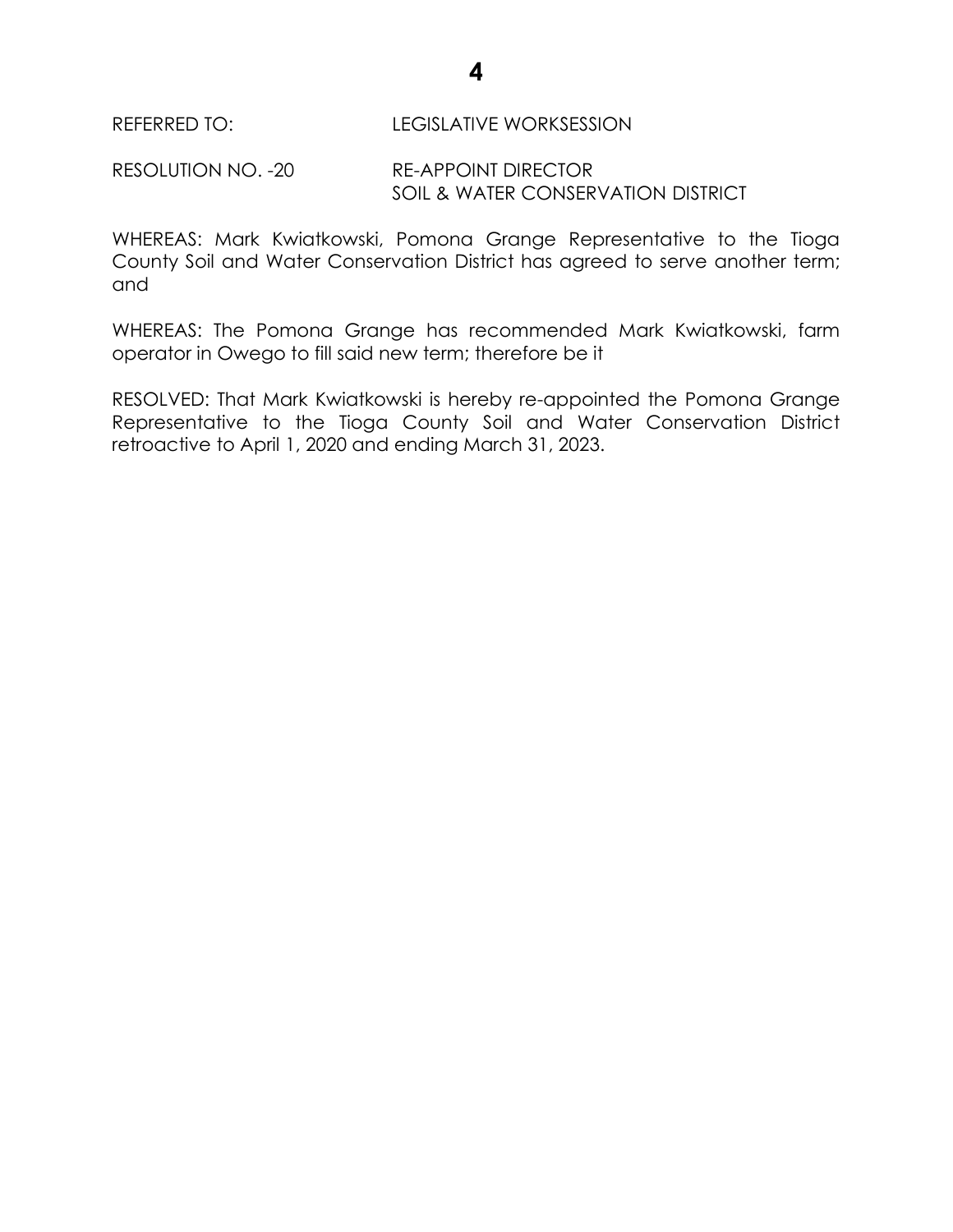REFERRED TO: LEGISLATIVE WORKSESSION

RESOLUTION NO. -20 RE-APPOINT DIRECTOR SOIL & WATER CONSERVATION DISTRICT

WHEREAS: Mark Kwiatkowski, Pomona Grange Representative to the Tioga County Soil and Water Conservation District has agreed to serve another term; and

WHEREAS: The Pomona Grange has recommended Mark Kwiatkowski, farm operator in Owego to fill said new term; therefore be it

RESOLVED: That Mark Kwiatkowski is hereby re-appointed the Pomona Grange Representative to the Tioga County Soil and Water Conservation District retroactive to April 1, 2020 and ending March 31, 2023.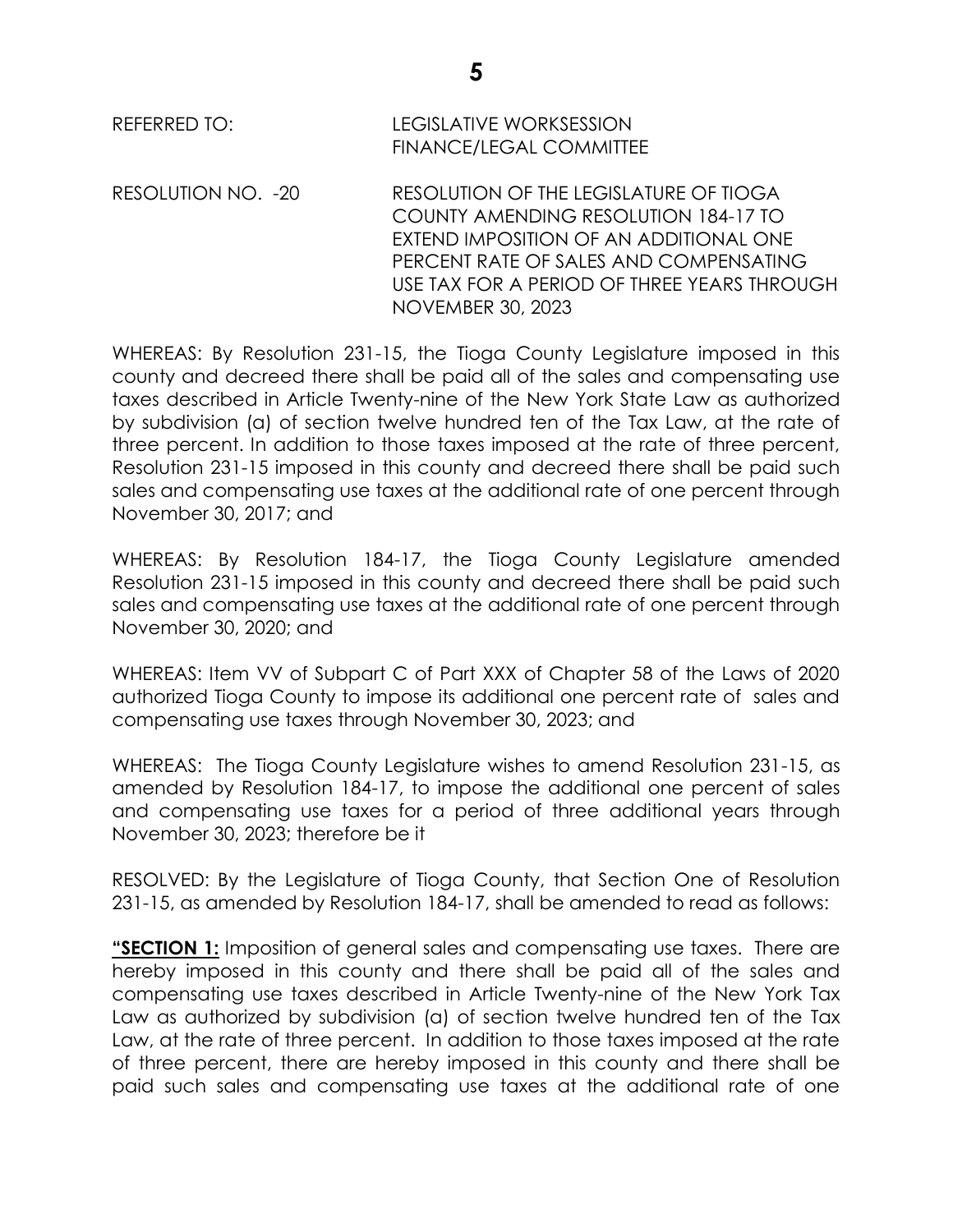REFERRED TO: LEGISLATIVE WORKSESSION FINANCE/LEGAL COMMITTEE

RESOLUTION NO. -20 RESOLUTION OF THE LEGISLATURE OF TIOGA COUNTY AMENDING RESOLUTION 184-17 TO EXTEND IMPOSITION OF AN ADDITIONAL ONE PERCENT RATE OF SALES AND COMPENSATING USE TAX FOR A PERIOD OF THREE YEARS THROUGH NOVEMBER 30, 2023

WHEREAS: By Resolution 231-15, the Tioga County Legislature imposed in this county and decreed there shall be paid all of the sales and compensating use taxes described in Article Twenty-nine of the New York State Law as authorized by subdivision (a) of section twelve hundred ten of the Tax Law, at the rate of three percent. In addition to those taxes imposed at the rate of three percent, Resolution 231-15 imposed in this county and decreed there shall be paid such sales and compensating use taxes at the additional rate of one percent through November 30, 2017; and

WHEREAS: By Resolution 184-17, the Tioga County Legislature amended Resolution 231-15 imposed in this county and decreed there shall be paid such sales and compensating use taxes at the additional rate of one percent through November 30, 2020; and

WHEREAS: Item VV of Subpart C of Part XXX of Chapter 58 of the Laws of 2020 authorized Tioga County to impose its additional one percent rate of sales and compensating use taxes through November 30, 2023; and

WHEREAS: The Tioga County Legislature wishes to amend Resolution 231-15, as amended by Resolution 184-17, to impose the additional one percent of sales and compensating use taxes for a period of three additional years through November 30, 2023; therefore be it

RESOLVED: By the Legislature of Tioga County, that Section One of Resolution 231-15, as amended by Resolution 184-17, shall be amended to read as follows:

**"SECTION 1:** Imposition of general sales and compensating use taxes. There are hereby imposed in this county and there shall be paid all of the sales and compensating use taxes described in Article Twenty-nine of the New York Tax Law as authorized by subdivision (a) of section twelve hundred ten of the Tax Law, at the rate of three percent. In addition to those taxes imposed at the rate of three percent, there are hereby imposed in this county and there shall be paid such sales and compensating use taxes at the additional rate of one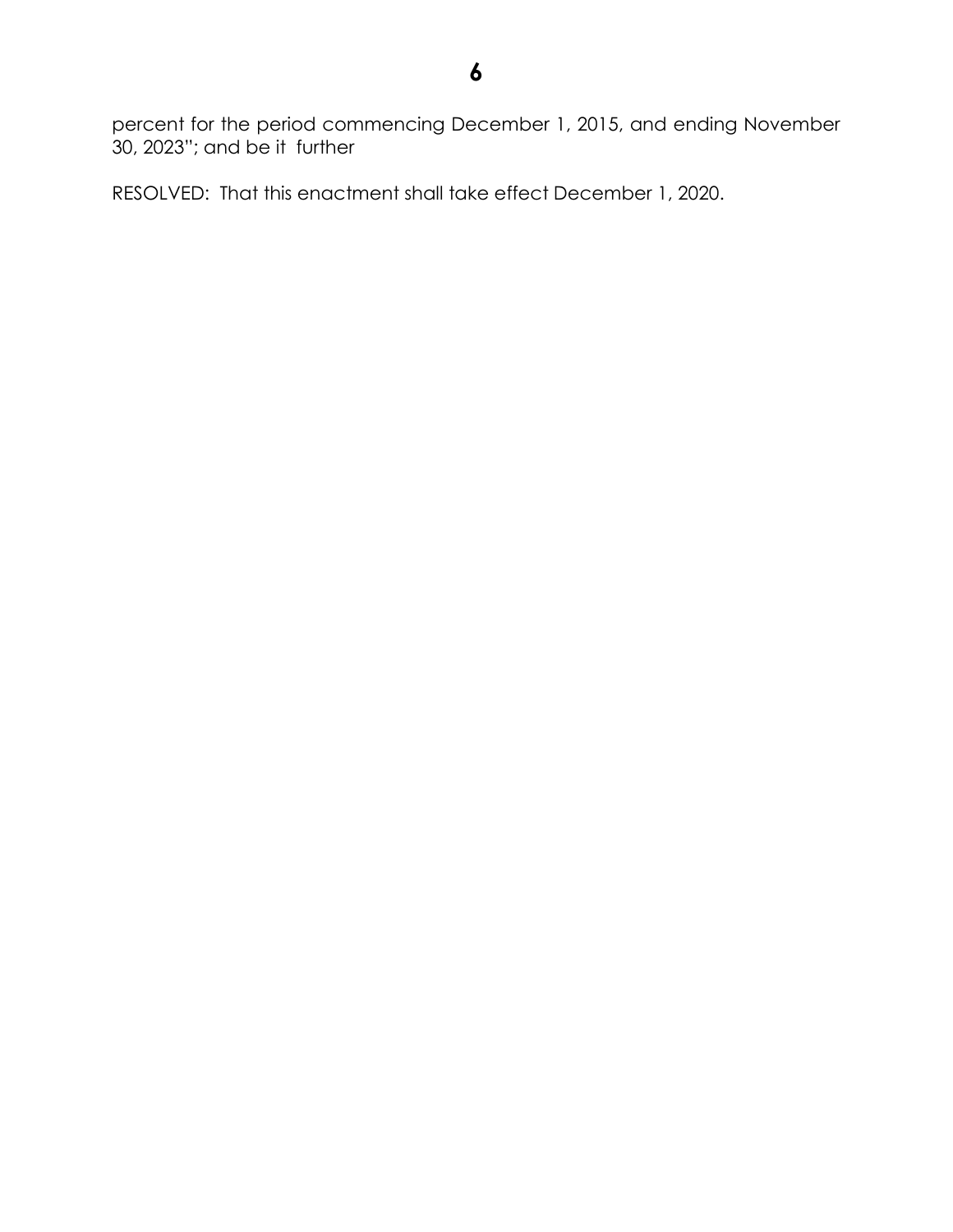percent for the period commencing December 1, 2015, and ending November 30, 2023"; and be it further

RESOLVED: That this enactment shall take effect December 1, 2020.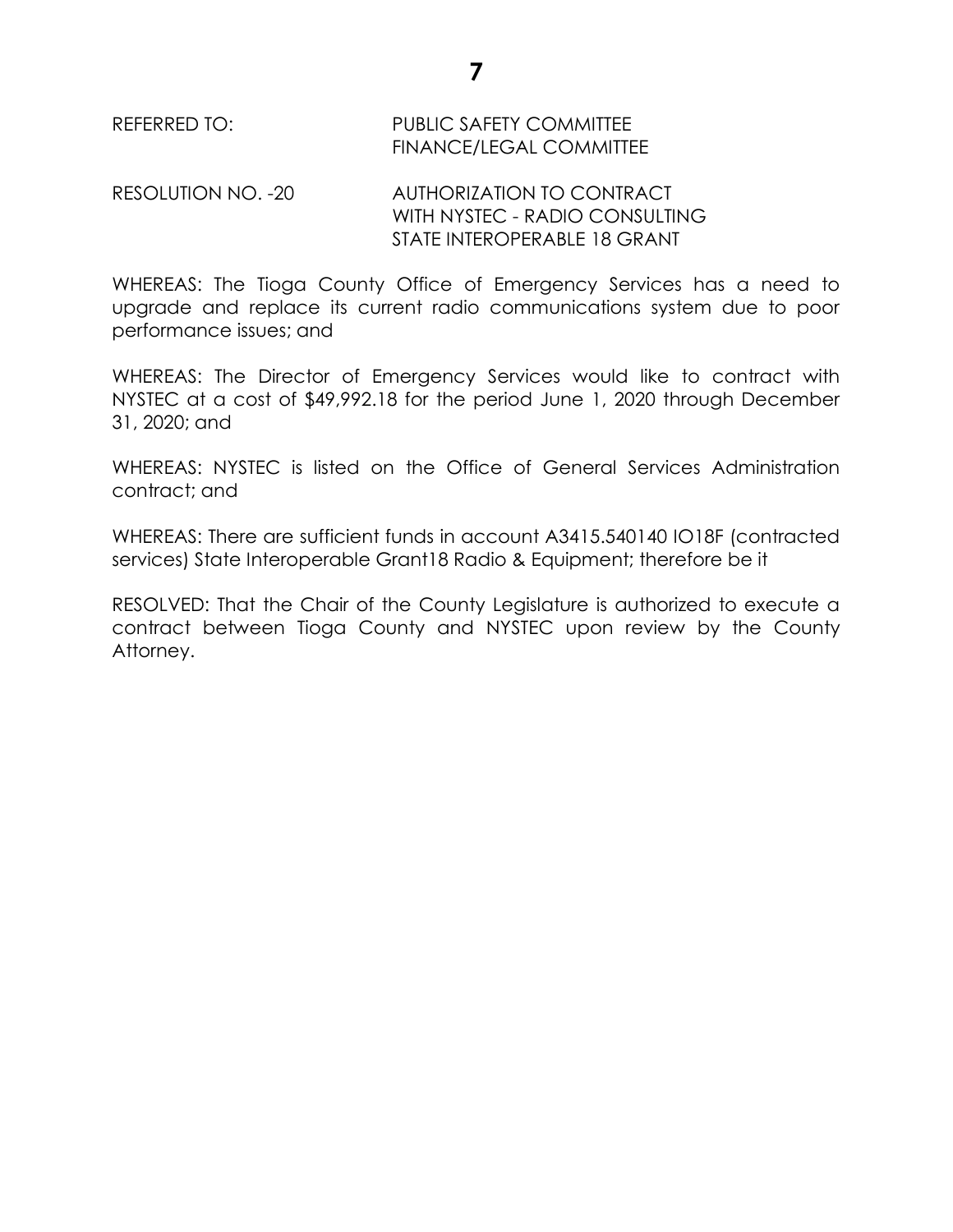## REFERRED TO: PUBLIC SAFETY COMMITTEE FINANCE/LEGAL COMMITTEE

RESOLUTION NO. -20 AUTHORIZATION TO CONTRACT WITH NYSTEC - RADIO CONSULTING STATE INTEROPERABLE 18 GRANT

WHEREAS: The Tioga County Office of Emergency Services has a need to upgrade and replace its current radio communications system due to poor performance issues; and

WHEREAS: The Director of Emergency Services would like to contract with NYSTEC at a cost of \$49,992.18 for the period June 1, 2020 through December 31, 2020; and

WHEREAS: NYSTEC is listed on the Office of General Services Administration contract; and

WHEREAS: There are sufficient funds in account A3415.540140 IO18F (contracted services) State Interoperable Grant18 Radio & Equipment; therefore be it

RESOLVED: That the Chair of the County Legislature is authorized to execute a contract between Tioga County and NYSTEC upon review by the County Attorney.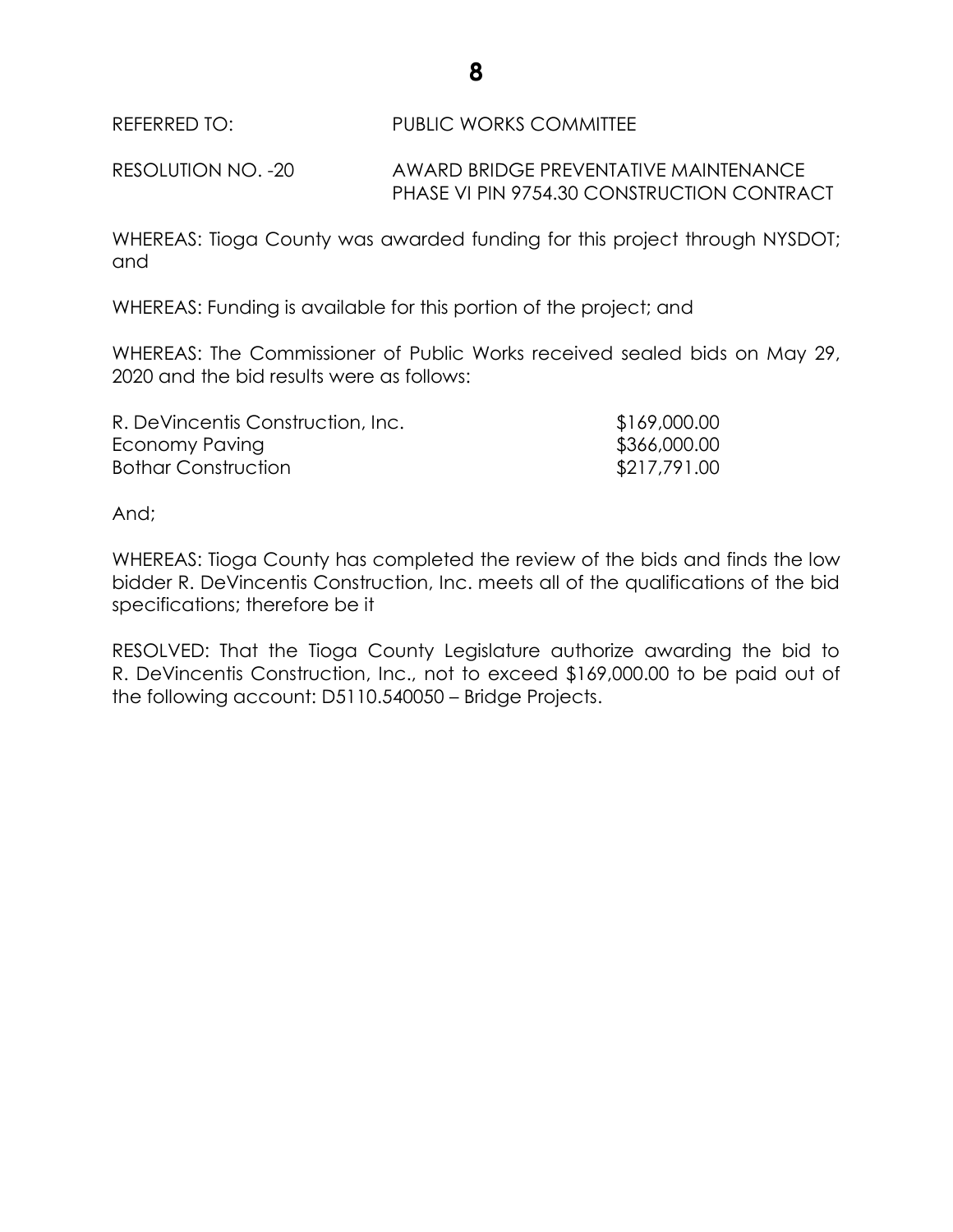REFERRED TO: PUBLIC WORKS COMMITTEE

RESOLUTION NO. -20 AWARD BRIDGE PREVENTATIVE MAINTENANCE PHASE VI PIN 9754.30 CONSTRUCTION CONTRACT

WHEREAS: Tioga County was awarded funding for this project through NYSDOT; and

WHEREAS: Funding is available for this portion of the project; and

WHEREAS: The Commissioner of Public Works received sealed bids on May 29, 2020 and the bid results were as follows:

| R. DeVincentis Construction, Inc. | \$169,000.00 |
|-----------------------------------|--------------|
| Economy Paving                    | \$366,000.00 |
| <b>Bothar Construction</b>        | \$217,791.00 |

And;

WHEREAS: Tioga County has completed the review of the bids and finds the low bidder R. DeVincentis Construction, Inc. meets all of the qualifications of the bid specifications; therefore be it

RESOLVED: That the Tioga County Legislature authorize awarding the bid to R. DeVincentis Construction, Inc., not to exceed \$169,000.00 to be paid out of the following account: D5110.540050 – Bridge Projects.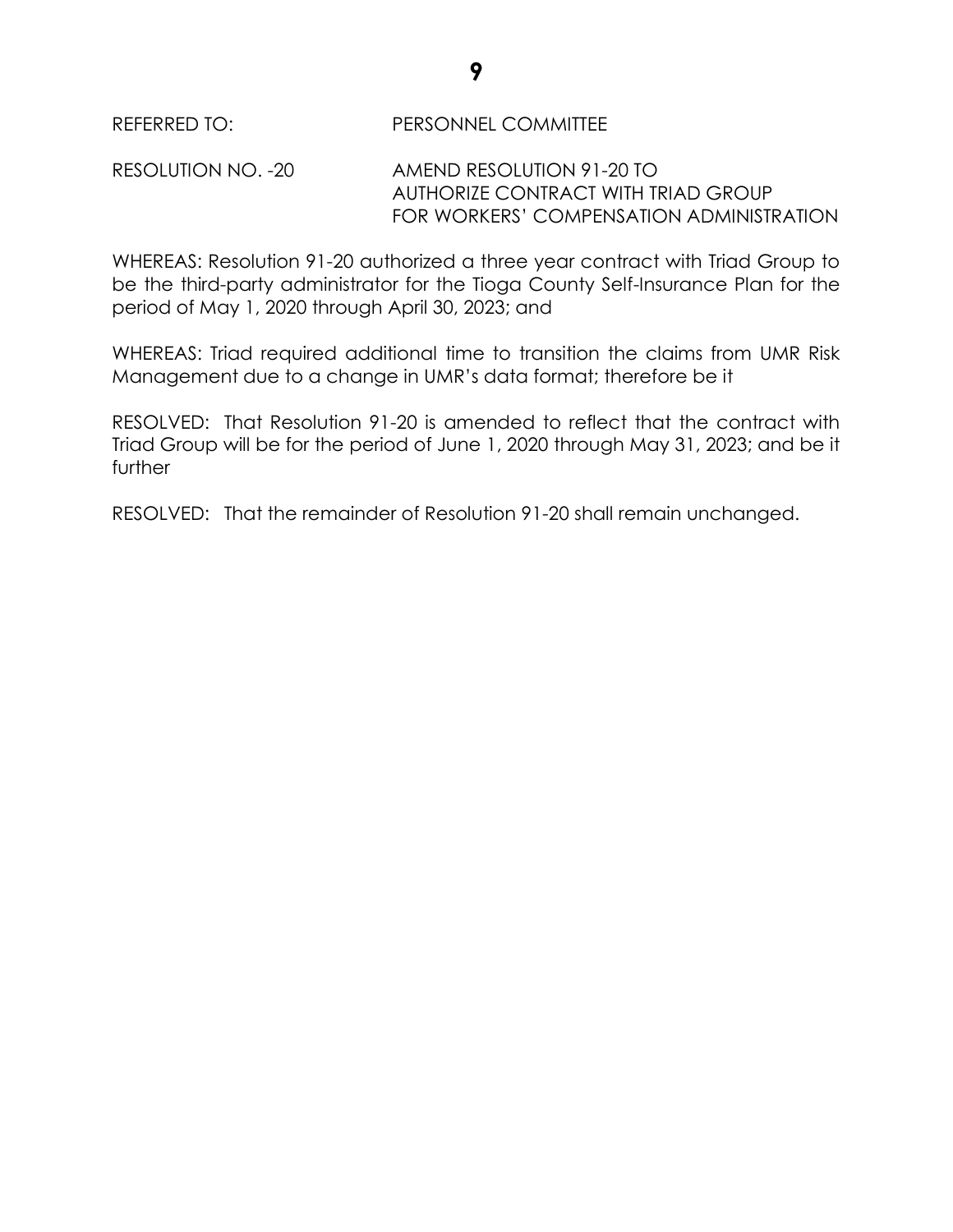REFERRED TO: PERSONNEL COMMITTEE

RESOLUTION NO. -20 AMEND RESOLUTION 91-20 TO AUTHORIZE CONTRACT WITH TRIAD GROUP FOR WORKERS' COMPENSATION ADMINISTRATION

WHEREAS: Resolution 91-20 authorized a three year contract with Triad Group to be the third-party administrator for the Tioga County Self-Insurance Plan for the period of May 1, 2020 through April 30, 2023; and

WHEREAS: Triad required additional time to transition the claims from UMR Risk Management due to a change in UMR's data format; therefore be it

RESOLVED: That Resolution 91-20 is amended to reflect that the contract with Triad Group will be for the period of June 1, 2020 through May 31, 2023; and be it further

RESOLVED: That the remainder of Resolution 91-20 shall remain unchanged.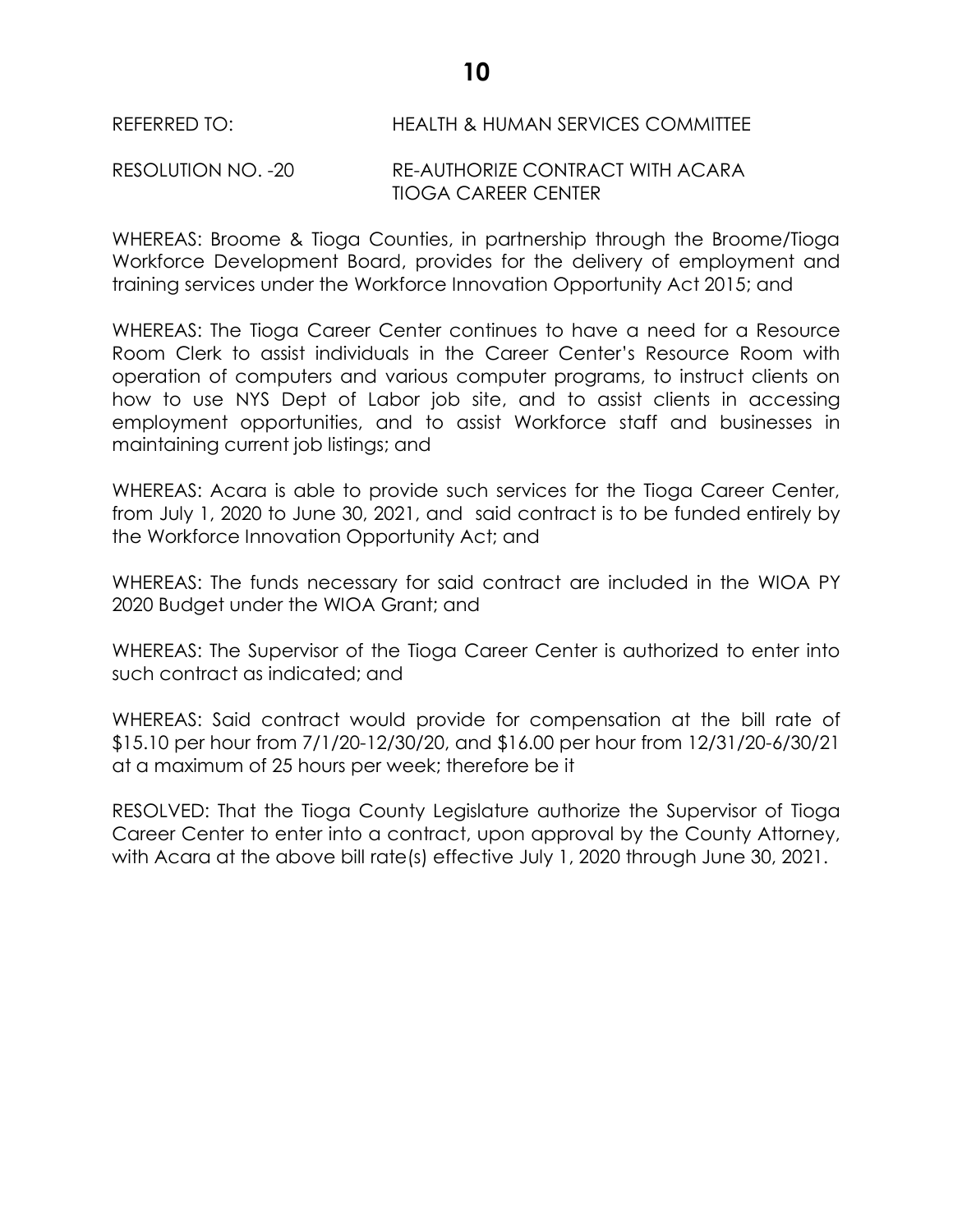REFERRED TO: HEALTH & HUMAN SERVICES COMMITTEE

## RESOLUTION NO. -20 RE-AUTHORIZE CONTRACT WITH ACARA TIOGA CAREER CENTER

WHEREAS: Broome & Tioga Counties, in partnership through the Broome/Tioga Workforce Development Board, provides for the delivery of employment and training services under the Workforce Innovation Opportunity Act 2015; and

WHEREAS: The Tioga Career Center continues to have a need for a Resource Room Clerk to assist individuals in the Career Center's Resource Room with operation of computers and various computer programs, to instruct clients on how to use NYS Dept of Labor job site, and to assist clients in accessing employment opportunities, and to assist Workforce staff and businesses in maintaining current job listings; and

WHEREAS: Acara is able to provide such services for the Tioga Career Center, from July 1, 2020 to June 30, 2021, and said contract is to be funded entirely by the Workforce Innovation Opportunity Act; and

WHEREAS: The funds necessary for said contract are included in the WIOA PY 2020 Budget under the WIOA Grant; and

WHEREAS: The Supervisor of the Tioga Career Center is authorized to enter into such contract as indicated; and

WHEREAS: Said contract would provide for compensation at the bill rate of \$15.10 per hour from 7/1/20-12/30/20, and \$16.00 per hour from 12/31/20-6/30/21 at a maximum of 25 hours per week; therefore be it

RESOLVED: That the Tioga County Legislature authorize the Supervisor of Tioga Career Center to enter into a contract, upon approval by the County Attorney, with Acara at the above bill rate(s) effective July 1, 2020 through June 30, 2021.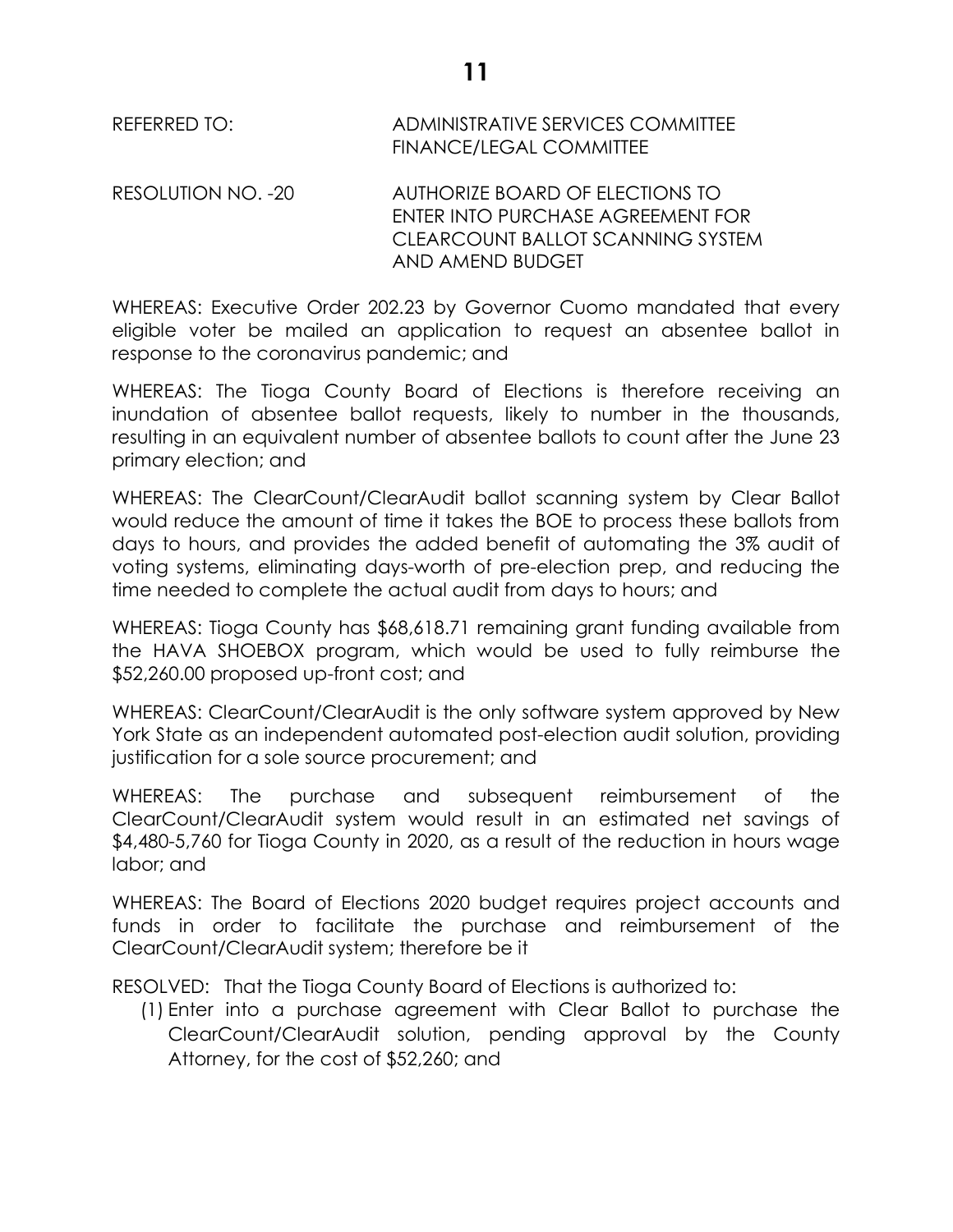REFERRED TO: ADMINISTRATIVE SERVICES COMMITTEE FINANCE/LEGAL COMMITTEE

RESOLUTION NO. -20 AUTHORIZE BOARD OF ELECTIONS TO ENTER INTO PURCHASE AGREEMENT FOR CLEARCOUNT BALLOT SCANNING SYSTEM AND AMEND BUDGET

WHEREAS: Executive Order 202.23 by Governor Cuomo mandated that every eligible voter be mailed an application to request an absentee ballot in response to the coronavirus pandemic; and

WHEREAS: The Tioga County Board of Elections is therefore receiving an inundation of absentee ballot requests, likely to number in the thousands, resulting in an equivalent number of absentee ballots to count after the June 23 primary election; and

WHEREAS: The ClearCount/ClearAudit ballot scanning system by Clear Ballot would reduce the amount of time it takes the BOE to process these ballots from days to hours, and provides the added benefit of automating the 3% audit of voting systems, eliminating days-worth of pre-election prep, and reducing the time needed to complete the actual audit from days to hours; and

WHEREAS: Tioga County has \$68,618.71 remaining grant funding available from the HAVA SHOEBOX program, which would be used to fully reimburse the \$52,260.00 proposed up-front cost; and

WHEREAS: ClearCount/ClearAudit is the only software system approved by New York State as an independent automated post-election audit solution, providing justification for a sole source procurement; and

WHEREAS: The purchase and subsequent reimbursement of the ClearCount/ClearAudit system would result in an estimated net savings of \$4,480-5,760 for Tioga County in 2020, as a result of the reduction in hours wage labor; and

WHEREAS: The Board of Elections 2020 budget requires project accounts and funds in order to facilitate the purchase and reimbursement of the ClearCount/ClearAudit system; therefore be it

RESOLVED: That the Tioga County Board of Elections is authorized to:

(1) Enter into a purchase agreement with Clear Ballot to purchase the ClearCount/ClearAudit solution, pending approval by the County Attorney, for the cost of \$52,260; and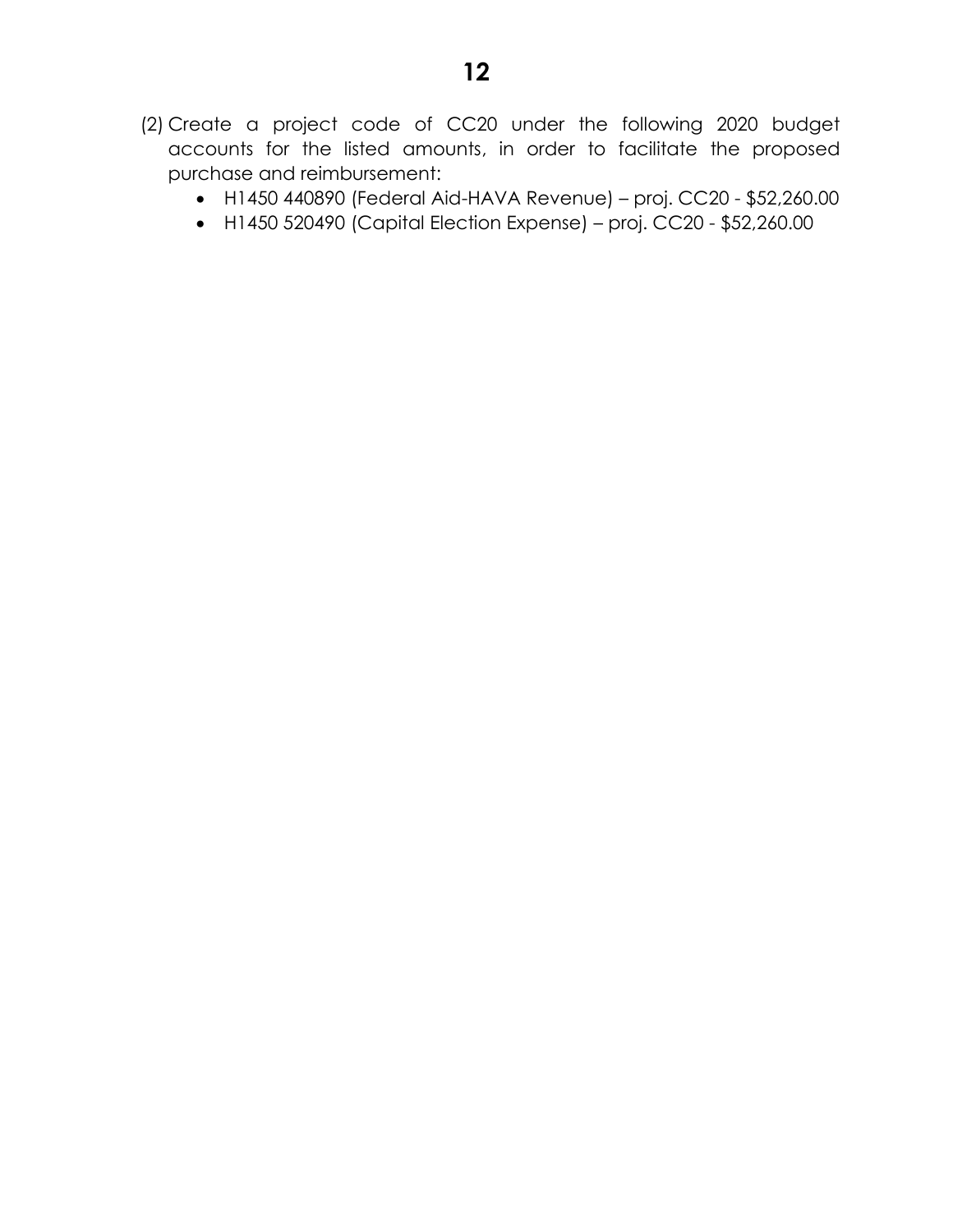- H1450 440890 (Federal Aid-HAVA Revenue) proj. CC20 \$52,260.00
- H1450 520490 (Capital Election Expense) proj. CC20 \$52,260.00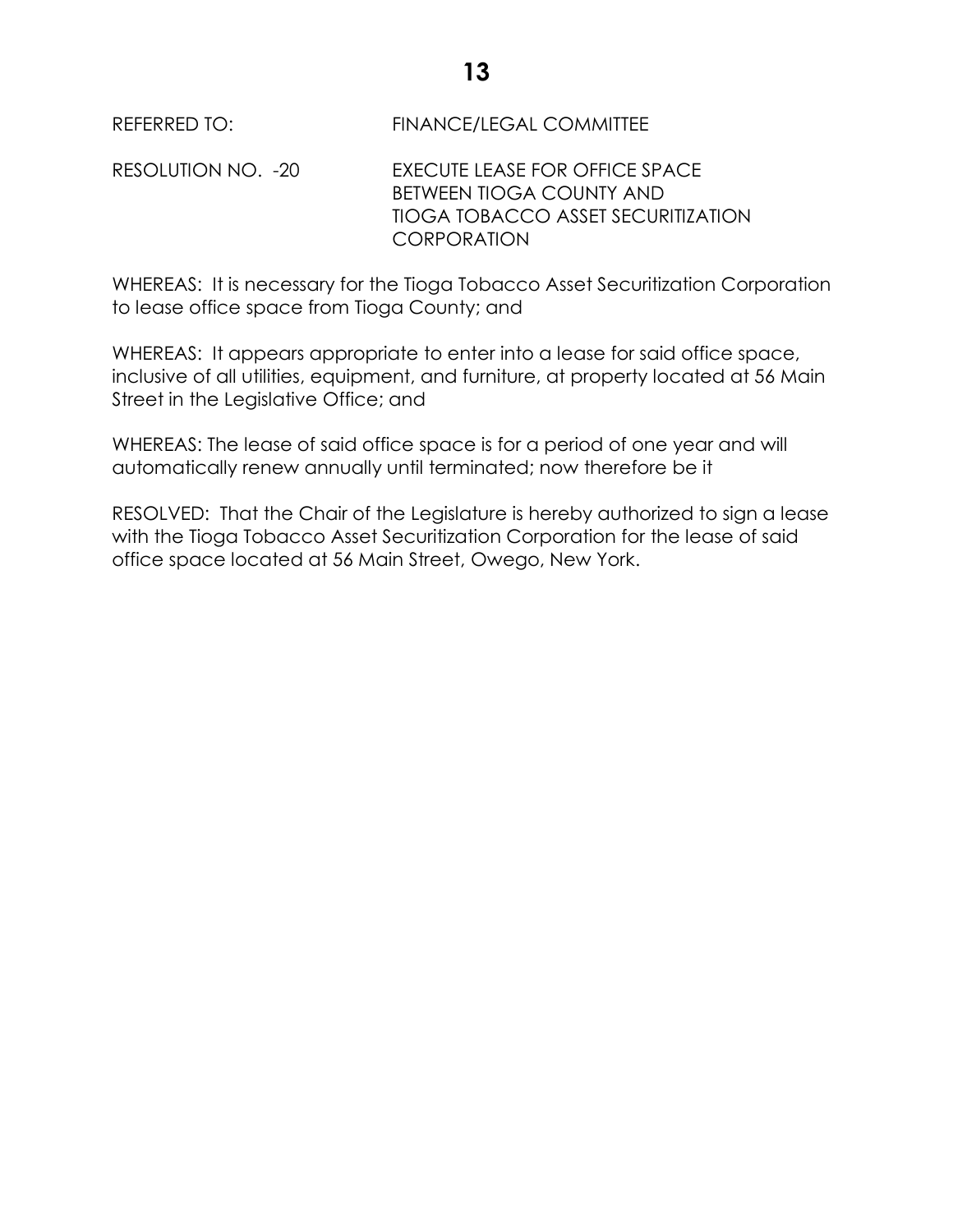REFERRED TO: FINANCE/LEGAL COMMITTEE

RESOLUTION NO. -20 EXECUTE LEASE FOR OFFICE SPACE BETWEEN TIOGA COUNTY AND TIOGA TOBACCO ASSET SECURITIZATION **CORPORATION** 

WHEREAS: It is necessary for the Tioga Tobacco Asset Securitization Corporation to lease office space from Tioga County; and

WHEREAS: It appears appropriate to enter into a lease for said office space, inclusive of all utilities, equipment, and furniture, at property located at 56 Main Street in the Legislative Office; and

WHEREAS: The lease of said office space is for a period of one year and will automatically renew annually until terminated; now therefore be it

RESOLVED: That the Chair of the Legislature is hereby authorized to sign a lease with the Tioga Tobacco Asset Securitization Corporation for the lease of said office space located at 56 Main Street, Owego, New York.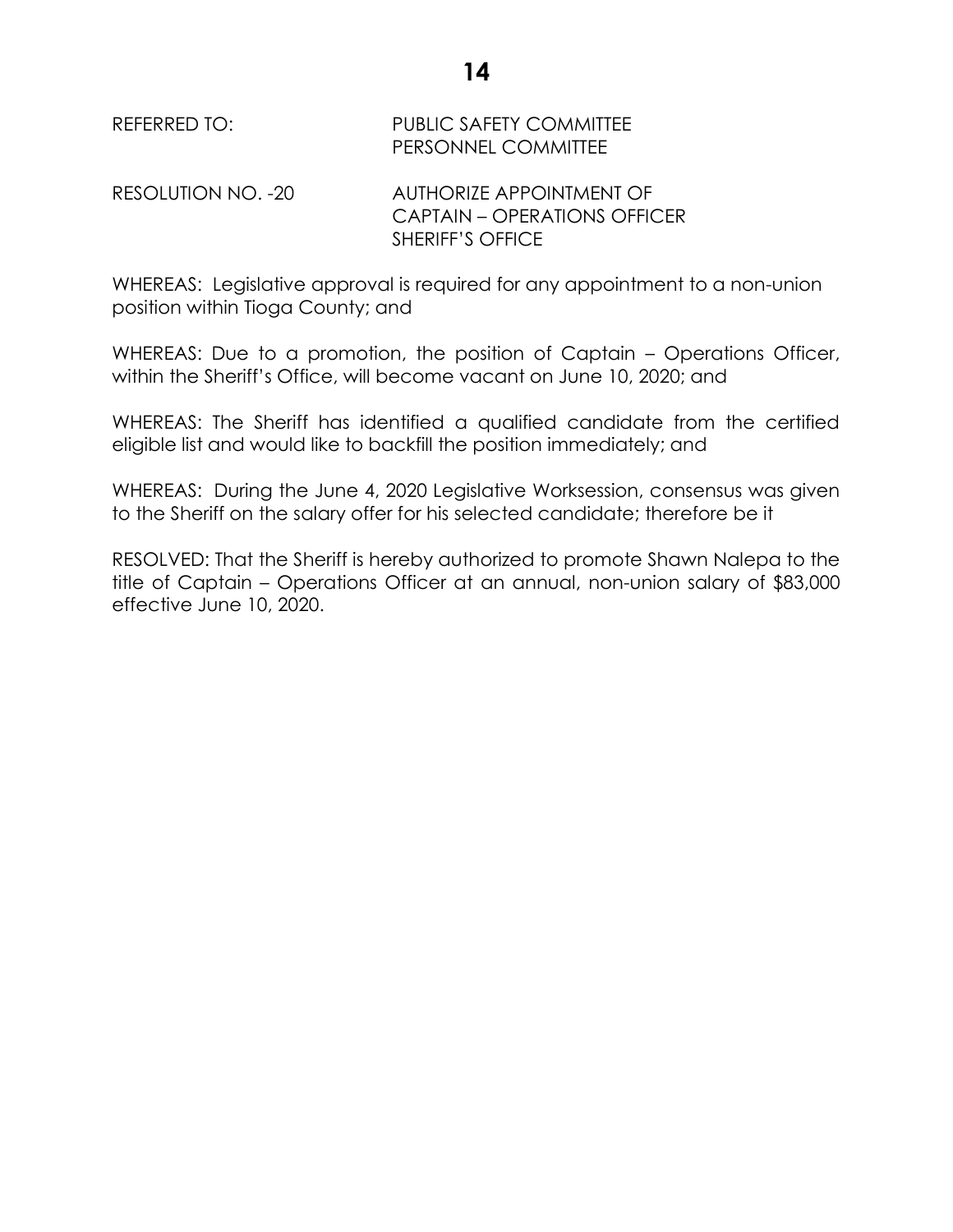REFERRED TO: PUBLIC SAFETY COMMITTEE PERSONNEL COMMITTEE

RESOLUTION NO. -20 AUTHORIZE APPOINTMENT OF CAPTAIN – OPERATIONS OFFICER SHERIFF'S OFFICE

WHEREAS: Legislative approval is required for any appointment to a non-union position within Tioga County; and

WHEREAS: Due to a promotion, the position of Captain – Operations Officer, within the Sheriff's Office, will become vacant on June 10, 2020; and

WHEREAS: The Sheriff has identified a qualified candidate from the certified eligible list and would like to backfill the position immediately; and

WHEREAS: During the June 4, 2020 Legislative Worksession, consensus was given to the Sheriff on the salary offer for his selected candidate; therefore be it

RESOLVED: That the Sheriff is hereby authorized to promote Shawn Nalepa to the title of Captain – Operations Officer at an annual, non-union salary of \$83,000 effective June 10, 2020.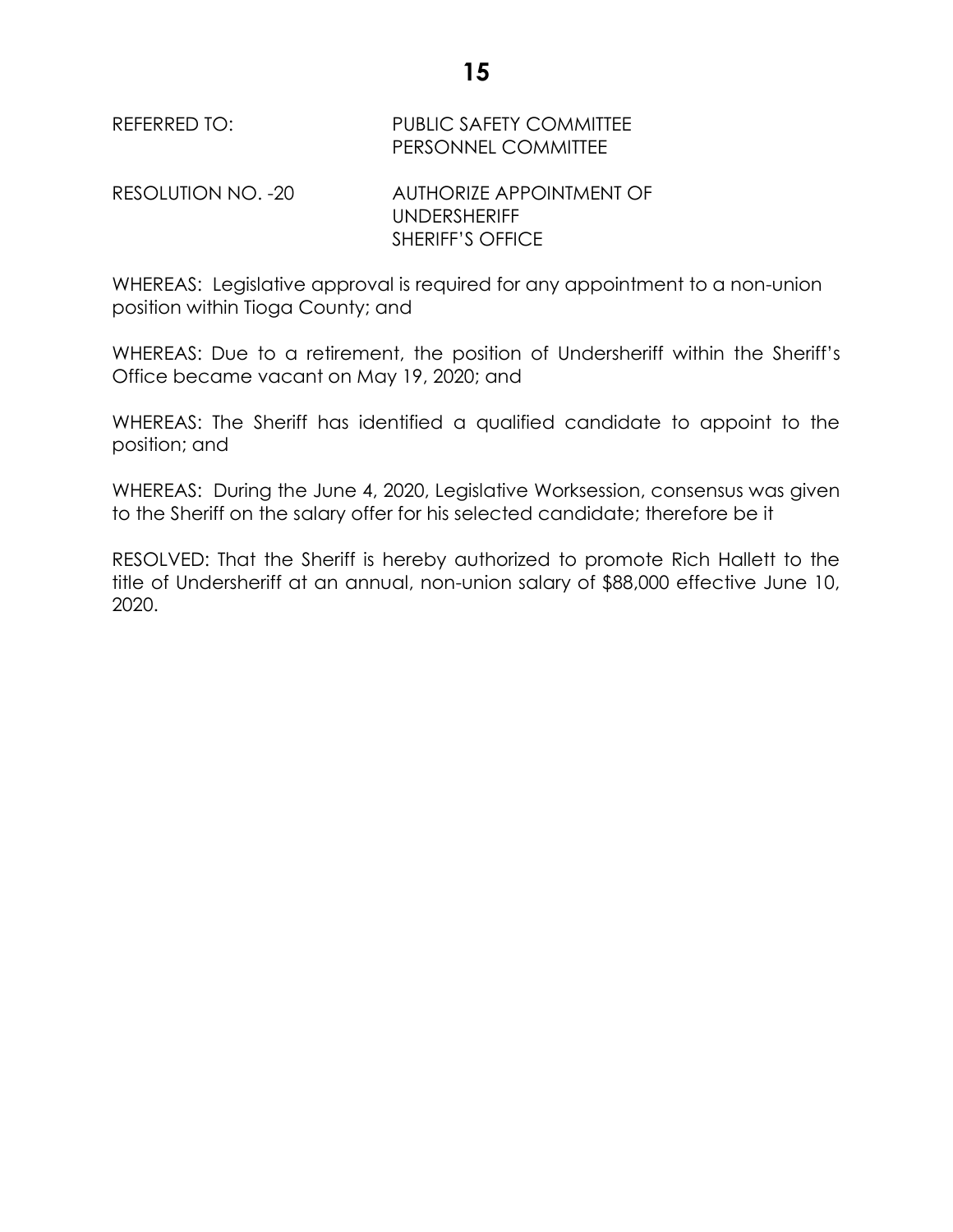REFERRED TO: PUBLIC SAFETY COMMITTEE PERSONNEL COMMITTEE RESOLUTION NO. -20 AUTHORIZE APPOINTMENT OF UNDERSHERIFF SHERIFF'S OFFICE

WHEREAS: Legislative approval is required for any appointment to a non-union position within Tioga County; and

WHEREAS: Due to a retirement, the position of Undersheriff within the Sheriff's Office became vacant on May 19, 2020; and

WHEREAS: The Sheriff has identified a qualified candidate to appoint to the position; and

WHEREAS: During the June 4, 2020, Legislative Worksession, consensus was given to the Sheriff on the salary offer for his selected candidate; therefore be it

RESOLVED: That the Sheriff is hereby authorized to promote Rich Hallett to the title of Undersheriff at an annual, non-union salary of \$88,000 effective June 10, 2020.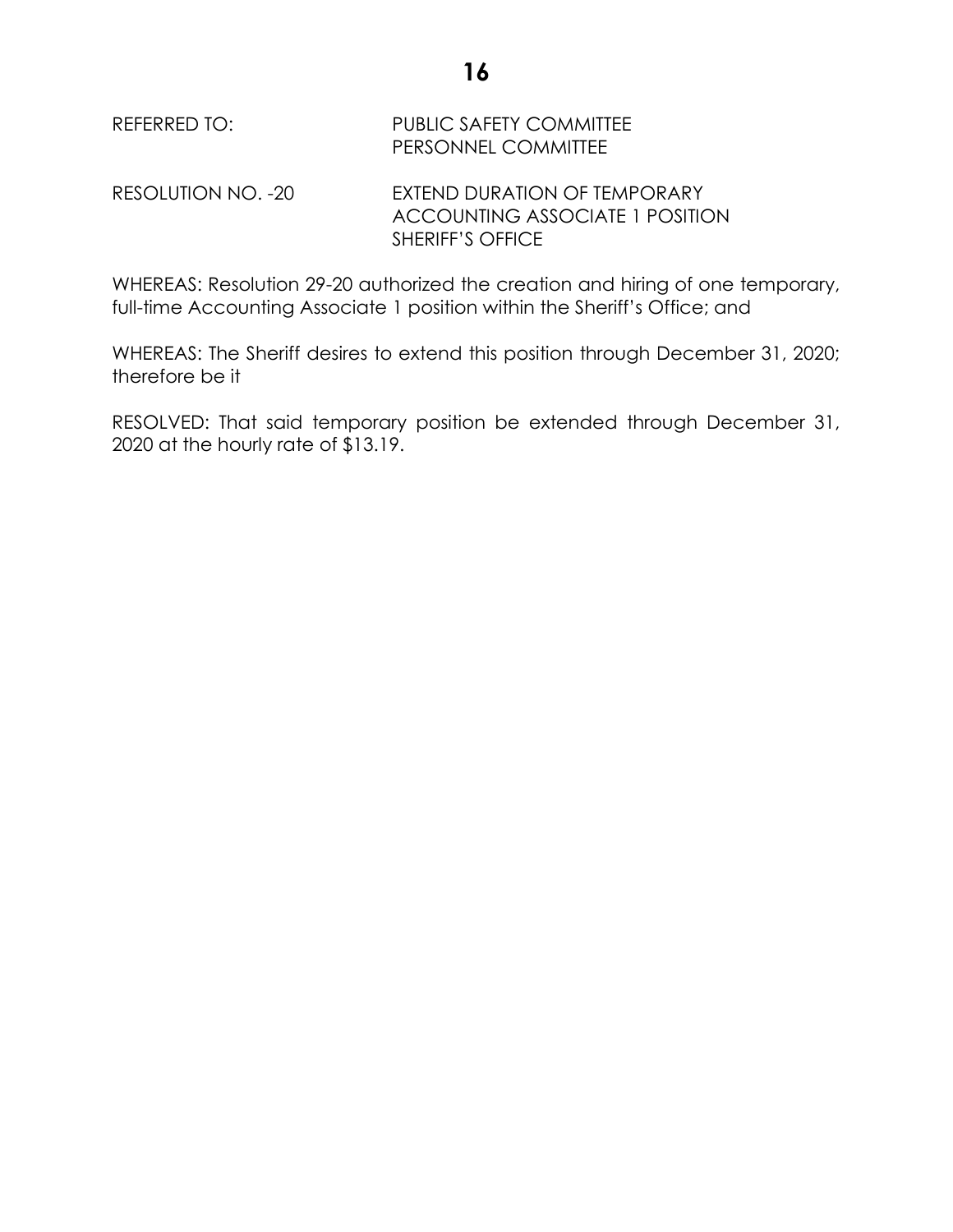REFERRED TO: PUBLIC SAFETY COMMITTEE PERSONNEL COMMITTEE

RESOLUTION NO. -20 EXTEND DURATION OF TEMPORARY ACCOUNTING ASSOCIATE 1 POSITION SHERIFF'S OFFICE

WHEREAS: Resolution 29-20 authorized the creation and hiring of one temporary, full-time Accounting Associate 1 position within the Sheriff's Office; and

WHEREAS: The Sheriff desires to extend this position through December 31, 2020; therefore be it

RESOLVED: That said temporary position be extended through December 31, 2020 at the hourly rate of \$13.19.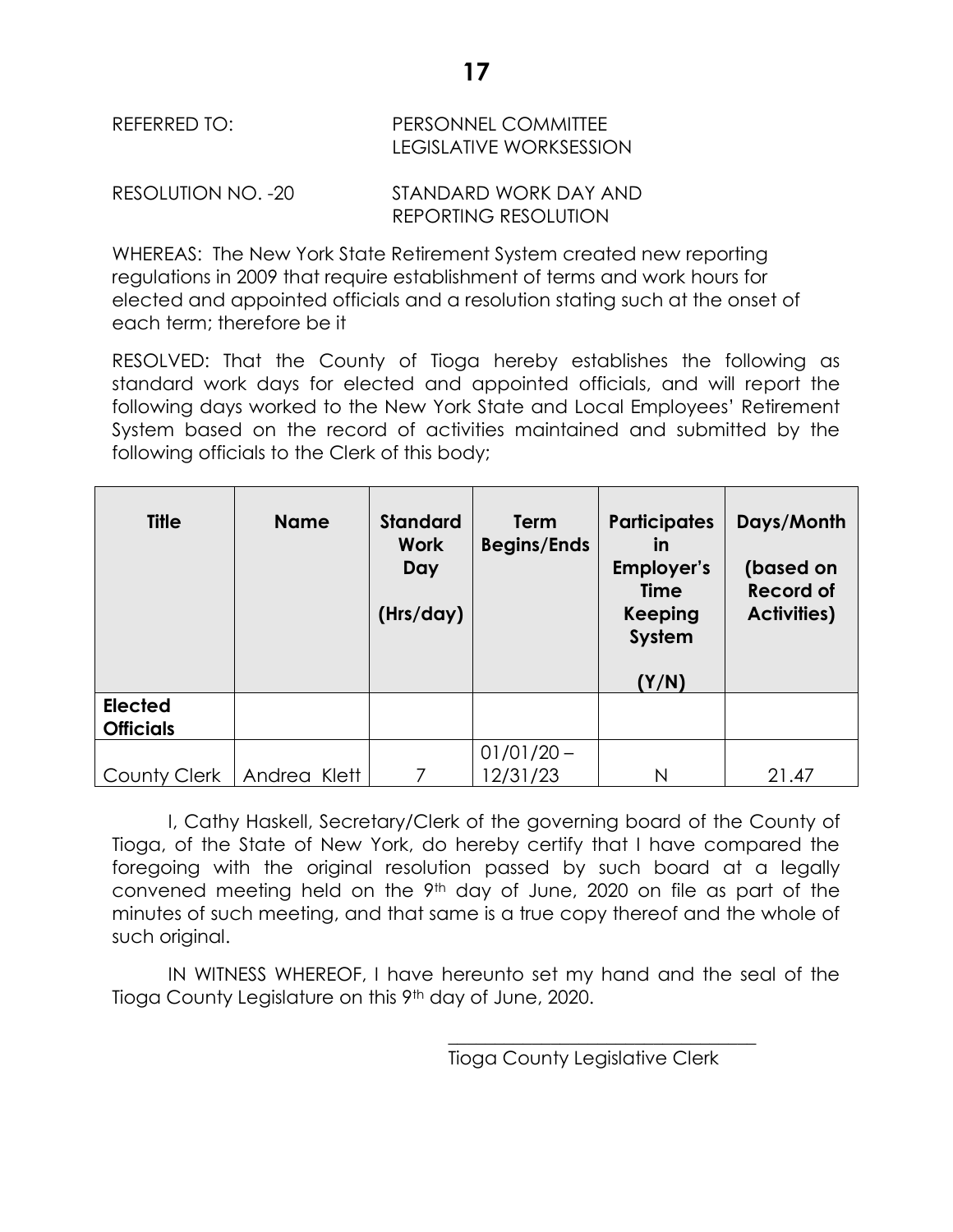| REFERRED TO: | <b>PERSONNEL COMMITTEE</b> |  |  |
|--------------|----------------------------|--|--|
|              | LEGISLATIVE WORKSESSION    |  |  |

RESOLUTION NO. -20 STANDARD WORK DAY AND REPORTING RESOLUTION

WHEREAS: The New York State Retirement System created new reporting regulations in 2009 that require establishment of terms and work hours for elected and appointed officials and a resolution stating such at the onset of each term; therefore be it

RESOLVED: That the County of Tioga hereby establishes the following as standard work days for elected and appointed officials, and will report the following days worked to the New York State and Local Employees' Retirement System based on the record of activities maintained and submitted by the following officials to the Clerk of this body;

| <b>Title</b>                       | <b>Name</b>  | <b>Standard</b><br><b>Work</b><br>Day<br>(Hrs/day) | <b>Term</b><br><b>Begins/Ends</b> | <b>Participates</b><br>in<br>Employer's<br><b>Time</b><br><b>Keeping</b><br>System<br>(Y/N) | Days/Month<br>(based on<br><b>Record of</b><br><b>Activities)</b> |
|------------------------------------|--------------|----------------------------------------------------|-----------------------------------|---------------------------------------------------------------------------------------------|-------------------------------------------------------------------|
| <b>Elected</b><br><b>Officials</b> |              |                                                    |                                   |                                                                                             |                                                                   |
| <b>County Clerk</b>                | Andrea Klett |                                                    | $01/01/20 -$<br>12/31/23          | N                                                                                           | 21.47                                                             |

I, Cathy Haskell, Secretary/Clerk of the governing board of the County of Tioga, of the State of New York, do hereby certify that I have compared the foregoing with the original resolution passed by such board at a legally convened meeting held on the 9th day of June, 2020 on file as part of the minutes of such meeting, and that same is a true copy thereof and the whole of such original.

IN WITNESS WHEREOF, I have hereunto set my hand and the seal of the Tioga County Legislature on this 9<sup>th</sup> day of June, 2020.

\_\_\_\_\_\_\_\_\_\_\_\_\_\_\_\_\_\_\_\_\_\_\_\_\_\_\_\_\_\_\_\_\_